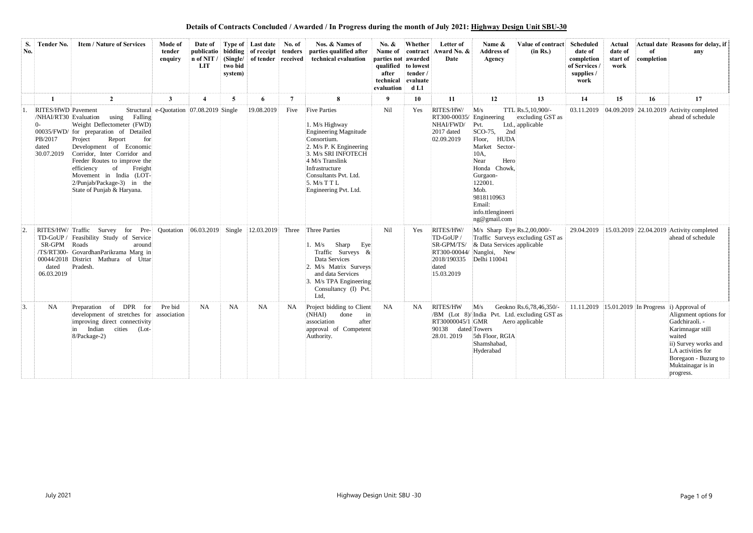| S.<br>No. | Tender No.                                                                    | <b>Item / Nature of Services</b>                                                                                                                                                                                                                                                                                                      | <b>Mode of</b><br>tender<br>enquiry      | Date of<br>n of NIT /<br>LIT | two bid<br>system) | <b>Type of</b> Last date<br>publicatio bidding of receipt tenders<br>(Single/ of tender received) | No. of    | Nos. & Names of<br>parties qualified after<br>technical evaluation                                                                                                                                                                     | No. $\&$<br>Name of<br>parties not awarded<br>qualified to lowest<br>after<br>technical<br>evaluation | Whether<br>contract<br>tender /<br>evaluate<br>d <sub>L1</sub> | Letter of<br>Award No. &<br>Date                                                                        | Name &<br><b>Address of</b><br>Agency                                                                                                                                                                                          | Value of contract<br>(in Rs.)                                            | Scheduled<br>date of<br>completion<br>of Services<br>supplies /<br>work | Actual<br>date of<br>start of<br>work | of<br>completion | Actual date Reasons for delay, if<br>any                                                                                                                                                                                         |
|-----------|-------------------------------------------------------------------------------|---------------------------------------------------------------------------------------------------------------------------------------------------------------------------------------------------------------------------------------------------------------------------------------------------------------------------------------|------------------------------------------|------------------------------|--------------------|---------------------------------------------------------------------------------------------------|-----------|----------------------------------------------------------------------------------------------------------------------------------------------------------------------------------------------------------------------------------------|-------------------------------------------------------------------------------------------------------|----------------------------------------------------------------|---------------------------------------------------------------------------------------------------------|--------------------------------------------------------------------------------------------------------------------------------------------------------------------------------------------------------------------------------|--------------------------------------------------------------------------|-------------------------------------------------------------------------|---------------------------------------|------------------|----------------------------------------------------------------------------------------------------------------------------------------------------------------------------------------------------------------------------------|
|           |                                                                               | $\overline{2}$                                                                                                                                                                                                                                                                                                                        | 3                                        |                              | 5                  | 6                                                                                                 | 7         | 8                                                                                                                                                                                                                                      | -9                                                                                                    | 10                                                             | 11                                                                                                      | 12                                                                                                                                                                                                                             | 13                                                                       | 14                                                                      | 15                                    | 16               | 17                                                                                                                                                                                                                               |
|           | RITES/HWD Pavement<br>/NHAI/RT30 Evaluation<br>PB/2017<br>dated<br>30.07.2019 | using<br>Falling<br>Weight Deflectometer (FWD)<br>00035/FWD/ for preparation of Detailed<br>Report<br>Project<br>for<br>Development of Economic<br>Corridor, Inter Corridor and<br>Feeder Routes to improve the<br>of<br>Freight<br>efficiency<br>Movement in India (LOT-<br>2/Punjab/Package-3) in the<br>State of Punjab & Haryana. | Structural e-Quotation 07.08.2019 Single |                              |                    | 19.08.2019                                                                                        | Five      | <b>Five Parties</b><br>1. M/s Highway<br>Engineering Magnitude<br>Consortium.<br>2. M/s P. K Engineering<br>3. M/s SRI INFOTECH<br>4 M/s Translink<br>Infrastructure<br>Consultants Pvt. Ltd.<br>5. M/s T T L<br>Engineering Pvt. Ltd. | Nil                                                                                                   | Yes                                                            | RITES/HW/<br>RT300-00035/<br>NHAI/FWD/<br>2017 dated<br>02.09.2019                                      | M/s<br>Engineering<br>Pvt.<br>$SCO-75$ ,<br>2nd<br><b>HUDA</b><br>Floor,<br>Market Sector-<br>10A,<br>Hero<br>Near<br>Honda Chowk,<br>Gurgaon-<br>122001.<br>Mob.<br>9818110963<br>Email:<br>info.ttlengineeri<br>ng@gmail.com | TTL Rs.5,10,900/-<br>excluding GST as<br>Ltd., applicable                |                                                                         |                                       |                  | 03.11.2019 04.09.2019 24.10.2019 Activity completed<br>ahead of schedule                                                                                                                                                         |
|           | SR-GPM Roads<br>dated<br>06.03.2019                                           | RITES/HW/Traffic Survey for Pre-<br>TD-GoUP / Feasibility Study of Service<br>around<br>/TS/RT300- GovardhanParikrama Marg in<br>00044/2018 District Mathura of Uttar<br>Pradesh.                                                                                                                                                     | Quotation                                | 06.03.2019                   | Single             | 12.03.2019                                                                                        | Three     | Three Parties<br>Sharp<br>Eye<br>M/s<br>Traffic Surveys &<br>Data Services<br>2. M/s Matrix Surveys<br>and data Services<br>3. M/s TPA Engineering<br>Consultancy (I) Pvt.<br>Ltd,                                                     | Nil                                                                                                   | Yes                                                            | RITES/HW/<br>TD-GoUP /<br>SR-GPM/TS/<br>RT300-00044/<br>2018/190335 Delhi 110041<br>dated<br>15.03.2019 | $M/s$ Sharp Eye Rs.2,00,000/-<br>& Data Services applicable<br>Nangloi, New                                                                                                                                                    | Traffic Surveys excluding GST as                                         | 29.04.2019                                                              |                                       |                  | $ 15.03.2019 22.04.2019 $ Activity completed<br>ahead of schedule                                                                                                                                                                |
| 3.        | <b>NA</b>                                                                     | Preparation of DPR for<br>development of stretches for association<br>improving direct connectivity<br>in Indian cities (Lot-<br>8/Package-2)                                                                                                                                                                                         | Pre bid                                  | <b>NA</b>                    | <b>NA</b>          | <b>NA</b>                                                                                         | <b>NA</b> | Project bidding to Client<br>(NHAI)<br>done<br>$\ln$<br>association after<br>approval of Competent<br>Authority.                                                                                                                       | NA                                                                                                    | NA.                                                            | <b>RITES/HW</b><br>90138 dated Towers<br>28.01.2019                                                     | M/s<br>RT30000045/1 GMR Aero applicable<br>5th Floor, RGIA<br>Shamshabad,<br>Hyderabad                                                                                                                                         | Geokno Rs.6,78,46,350/-<br>/BM (Lot 8)/ India Pvt. Ltd. excluding GST as |                                                                         |                                       |                  | 11.11.2019 15.01.2019 In Progress i) Approval of<br>Alignment options for<br>Gadchiraoli. -<br>Karimnagar still<br>waited<br>ii) Survey works and<br>LA activities for<br>Boregaon - Buzurg to<br>Muktainagar is in<br>progress. |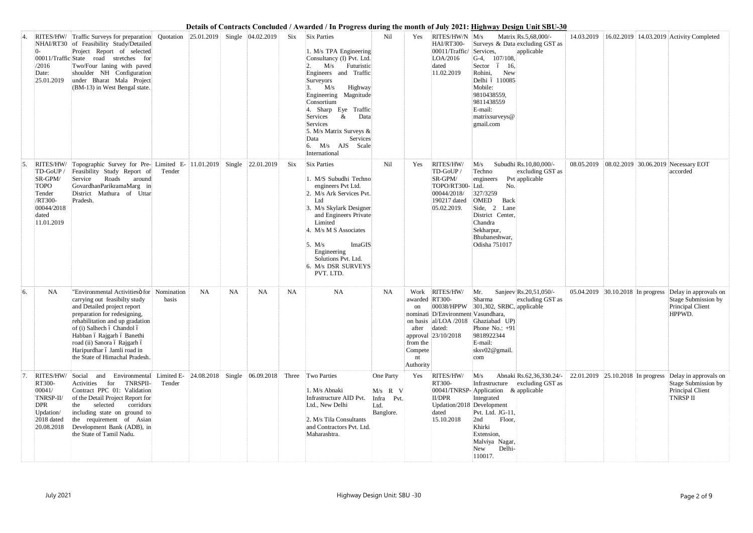|    | /2016<br>Date:<br>25.01.2019                                                                               | RITES/HW/ Traffic Surveys for preparation<br>NHAI/RT30 of Feasibility Study/Detailed<br>Project Report of selected<br>00011/Traffic State road stretches for<br>Two/Four laning with paved<br>shoulder NH Configuration<br>under Bharat Mala Project<br>(BM-13) in West Bengal state.                                                     |        | Quotation 25.01.2019 Single 04.02.2019 |           |           |           | Six Six Parties<br>1. M/s TPA Engineering<br>Consultancy (I) Pvt. Ltd.<br>M/s Futuristic<br>Engineers and Traffic<br>Surveyors<br>M/s<br>Highway<br>Engineering Magnitude<br>Consortium<br>Sharp Eye<br>Traffic<br>&<br>Data<br>Services<br>Services<br>5. M/s Matrix Surveys &<br>Services<br>Data<br>M/s AJS Scale<br>International | Nil                                                       | Yes                                                               | RITES/HW/N M/s<br>HAI/RT300-<br>00011/Traffic/<br>LOA/2016<br>dated<br>11.02.2019                | Services,<br>$G-4$ , 107/108,<br>Sector ó 16,<br>Rohini,<br>New<br>Delhi ó 110085<br>Mobile:<br>9810438559,<br>9811438559<br>E-mail:<br>matrixsurveys@<br>gmail.com     | Matrix Rs.5,68,000/-<br>Surveys & Data excluding GST as<br>applicable | 14.03.2019                        |  | 16.02.2019 14.03.2019 Activity Completed                                            |
|----|------------------------------------------------------------------------------------------------------------|-------------------------------------------------------------------------------------------------------------------------------------------------------------------------------------------------------------------------------------------------------------------------------------------------------------------------------------------|--------|----------------------------------------|-----------|-----------|-----------|---------------------------------------------------------------------------------------------------------------------------------------------------------------------------------------------------------------------------------------------------------------------------------------------------------------------------------------|-----------------------------------------------------------|-------------------------------------------------------------------|--------------------------------------------------------------------------------------------------|-------------------------------------------------------------------------------------------------------------------------------------------------------------------------|-----------------------------------------------------------------------|-----------------------------------|--|-------------------------------------------------------------------------------------|
|    | RITES/HW/<br>TD-GoUP /<br>SR-GPM/<br><b>TOPO</b><br>Tender<br>/RT300-<br>00044/2018<br>dated<br>11.01.2019 | Topographic Survey for Pre- Limited E- 11.01.2019 Single 22.01.2019<br>Feasibility Study Report of<br>Service<br>Roads<br>around<br>GovardhanParikramaMarg in<br>District Mathura of Uttar<br>Pradesh.                                                                                                                                    | Tender |                                        |           |           | Six       | <b>Six Parties</b><br>. M/S Subudhi Techno<br>engineers Pvt Ltd.<br>2. M/s Ark Services Pvt.<br>Ltd<br>3. M/s Skylark Designer<br>and Engineers Private<br>Limited<br>4. M/s M S Associates<br>ImaGIS<br>5. $M/s$<br>Engineering<br>Solutions Pvt. Ltd.<br>6. M/s DSR SURVEYS<br>PVT. LTD.                                            | Nil                                                       | Yes                                                               | RITES/HW/<br>TD-GoUP<br>SR-GPM/<br>TOPO/RT300-Ltd.<br>00044/2018/<br>190217 dated<br>05.02.2019. | M/s<br>Techno<br>engineers<br>No.<br>327/3259<br>OMED<br>Back<br>Side, 2 Lane<br>District Center,<br>Chandra<br>Sekharpur,<br>Bhubaneshwar,<br>Odisha 751017            | Subudhi Rs.10,80,000/-<br>excluding GST as<br>Pvt applicable          |                                   |  | 08.05.2019 08.02.2019 30.06.2019 Necessary EOT<br>accorded                          |
| 6. | <b>NA</b>                                                                                                  | "Environmental Activitiesö for Nomination<br>carrying out feasibilty study<br>and Detailed project report<br>preparation for redesigning,<br>rehabilitation and up gradation<br>of (i) Salhech ó Chandol ó<br>Habban ó Rajgarh ó Banethi<br>road (ii) Sanora ó Rajgarh ó<br>Haripurdhar ó Jamli road in<br>the State of Himachal Pradesh. | basis  | <b>NA</b>                              | <b>NA</b> | <b>NA</b> | <b>NA</b> | <b>NA</b>                                                                                                                                                                                                                                                                                                                             | <b>NA</b>                                                 | awarded RT300-<br>on<br>after<br>from the<br>Compete<br>Authority | Work RITES/HW/<br>nominati D/Environment Vasundhara,<br>dated:<br>approval 23/10/2018            | Mr.<br>Sharma<br>$ 00038/HPPW $ 301,302, SRBC, applicable<br>on basis al/LOA/2018 Ghaziabad UP)<br>Phone No.: $+91$<br>9818922344<br>E-mail:<br>sksv02@gmail.<br>com    | Sanjeev Rs.20,51,050/-<br>excluding GST as                            | 05.04.2019 30.10.2018 In progress |  | Delay in approvals on<br>Stage Submission by<br>Principal Client<br>HPPWD.          |
|    | RITES/HW/<br>RT300-<br>00041/<br>TNRSP-II/<br><b>DPR</b><br>Updation/<br>2018 dated<br>20.08.2018          | Environmental Limited E-<br>Social<br>and<br><b>TNRSPII-</b><br>Activities for<br>Contract PPC 01: Validation<br>of the Detail Project Report for<br>selected<br>corridors<br>the<br>including state on ground to<br>the requirement of Asian<br>Development Bank (ADB), in<br>the State of Tamil Nadu.                                   | Tender | $ 24.08.2018 $ Single 06.09.2018       |           |           |           | Three Two Parties<br>1. M/s Abnaki<br>Infrastructure AID Pvt.<br>Ltd., New Delhi<br>2. M/s Tila Consultants<br>and Contractors Pvt. Ltd.<br>Maharashtra.                                                                                                                                                                              | One Party<br>$M/s$ R V<br>Infra Pvt.<br>Ltd.<br>Banglore. | Yes                                                               | RITES/HW/<br><b>RT300-</b><br>II/DPR<br>Updation/2018 Development<br>dated<br>15.10.2018         | M/s<br>$00041$ /TNRSP-Application & applicable<br>Integrated<br>Pvt. Ltd. JG-11,<br>2nd<br>Floor,<br>Khirki<br>Extension,<br>Malviya Nagar,<br>Delhi-<br>New<br>110017. | Abnaki Rs.62,36,330.24/-<br>Infrastructure excluding GST as           | 22.01.2019 25.10.2018 In progress |  | Delay in approvals on<br>Stage Submission by<br>Principal Client<br><b>TNRSP II</b> |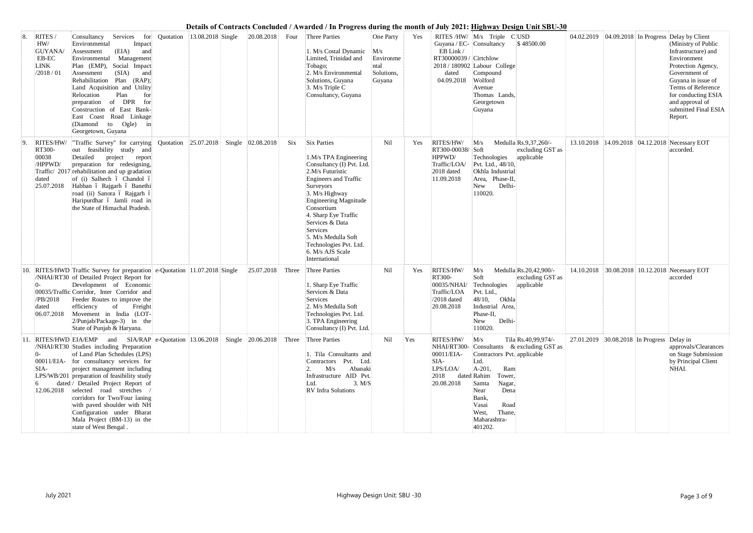| 8.  | RITES /<br>HW/<br><b>GUYANA</b> /<br>EB-EC<br><b>LINK</b><br>/2018/01 | Consultancy Services<br>for<br>Environmental<br>Impact<br>(EIA)<br>and<br>Assessment<br>Environmental Management<br>Plan (EMP), Social Impact<br>(SIA)<br>Assessment<br>and<br>Rehabilitation Plan (RAP);<br>Land Acquisition and Utility<br>Plan<br>Relocation<br>for<br>preparation of DPR<br>for<br>Construction of East Bank-<br>East Coast Road Linkage<br>(Diamond to Ogle)<br>in<br>Georgetown, Guyana                                                                                                                          | Quotation                              | 13.08.2018 Single | 20.08.2018 | Four  | <b>Three Parties</b><br>1. M/s Costal Dynamic<br>Limited, Trinidad and<br>Tobago;<br>2. M/s Environmental<br>Solutions, Guyana<br>3. M/s Triple C<br>Consultancy, Guyana                                                                                                                                                                        | One Party<br>M/s<br>Environme<br>ntal<br>Solutions,<br>Guyana | Yes | Guyana / EC- Consultancy<br>EB Link/<br>RT30000039 / Cirtchlow<br>dated<br>04.09.2018 | RITES /HW/ M/s Triple C USD<br>2018 / 180902 Labour College<br>Compound<br>Wolford<br>Avenue<br>Thomas Lands,<br>Georgetown<br>Guyana                                                           | \$48500.00                                                        |                                            |  | 04.02.2019 04.09.2018 In Progress Delay by Client<br>(Ministry of Public<br>Infrastructure) and<br>Environment<br>Protection Agency,<br>Government of<br>Guyana in issue of<br>Terms of Reference<br>for conducting ESIA<br>and approval of<br>submitted Final ESIA<br>Report. |
|-----|-----------------------------------------------------------------------|----------------------------------------------------------------------------------------------------------------------------------------------------------------------------------------------------------------------------------------------------------------------------------------------------------------------------------------------------------------------------------------------------------------------------------------------------------------------------------------------------------------------------------------|----------------------------------------|-------------------|------------|-------|-------------------------------------------------------------------------------------------------------------------------------------------------------------------------------------------------------------------------------------------------------------------------------------------------------------------------------------------------|---------------------------------------------------------------|-----|---------------------------------------------------------------------------------------|-------------------------------------------------------------------------------------------------------------------------------------------------------------------------------------------------|-------------------------------------------------------------------|--------------------------------------------|--|--------------------------------------------------------------------------------------------------------------------------------------------------------------------------------------------------------------------------------------------------------------------------------|
| 9.  | RITES/HW/<br>RT300-<br>00038<br>/HPPWD/<br>dated<br>25.07.2018        | "Traffic Survey" for carrying<br>out feasibility study and<br>Detailed<br>project report<br>preparation for redesigning,<br>Traffic/ 2017 rehabilitation and up gradation<br>of (i) Salhech ó Chandol ó<br>Habban ó Rajgarh ó Banethi<br>road (ii) Sanora ó Rajgarh ó<br>Haripurdhar ó Jamli road in<br>the State of Himachal Pradesh.                                                                                                                                                                                                 | Quotation 25.07.2018 Single 02.08.2018 |                   |            | Six   | <b>Six Parties</b><br>1.M/s TPA Engineering<br>Consultancy (I) Pvt. Ltd.<br>2.M/s Futuristic<br><b>Engineers and Traffic</b><br>Surveyors<br>3. M/s Highway<br>Engineering Magnitude<br>Consortium<br>4. Sharp Eye Traffic<br>Services & Data<br>Services<br>5. M/s Medulla Soft<br>Technologies Pvt. Ltd.<br>6. M/s AJS Scale<br>International | Nil                                                           | Yes | RITES/HW/<br>RT300-00038/ Soft<br>HPPWD/<br>Traffic/LOA/<br>2018 dated<br>11.09.2018  | M/s<br>Technologies<br>Pvt. Ltd., 48/10,<br>Okhla Industrial<br>Area, Phase-II,<br>Delhi-<br>New<br>110020.                                                                                     | Medulla Rs.9,37,260/-<br>excluding GST as<br>applicable           |                                            |  | 13.10.2018 14.09.2018 04.12.2018 Necessary EOT<br>accorded.                                                                                                                                                                                                                    |
| 10. | /PB/2018<br>dated                                                     | RITES/HWD Traffic Survey for preparation e-Quotation 11.07.2018 Single<br>/NHAI/RT30 of Detailed Project Report for<br>Development of Economic<br>00035/Traffic Corridor, Inter Corridor and<br>Feeder Routes to improve the<br>efficiency of Freight<br>06.07.2018 Movement in India (LOT-<br>2/Punjab/Package-3) in the<br>State of Punjab & Haryana.                                                                                                                                                                                |                                        |                   | 25.07.2018 | Three | <b>Three Parties</b><br>1. Sharp Eye Traffic<br>Services & Data<br>Services<br>2. M/s Medulla Soft<br>Technologies Pvt. Ltd.<br>3. TPA Engineering<br>Consultancy (I) Pvt. Ltd.                                                                                                                                                                 | Nil                                                           | Yes | RITES/HW/<br>RT300-<br>00035/NHAI/<br>Traffic/LOA<br>$/2018$ dated<br>20.08.2018      | M/s<br>Soft<br>Technologies<br>Pvt. Ltd.,<br>48/10,<br>Okhla<br>Industrial Area,<br>Phase-II,<br>Delhi-<br>New<br>110020.                                                                       | Medulla Rs.20,42,900/-<br>excluding GST as<br>applicable          |                                            |  | 14.10.2018 30.08.2018 10.12.2018 Necessary EOT<br>accorded                                                                                                                                                                                                                     |
|     | $0-$<br>SIA-                                                          | 11. RITES/HWD EIA/EMP and SIA/RAP e-Quotation 13.06.2018 Single 20.06.2018 Three Three Parties<br>/NHAI/RT30 Studies including Preparation<br>of Land Plan Schedules (LPS)<br>00011/EIA- for consultancy services for<br>project management including<br>LPS/WB/201 preparation of feasibility study<br>dated / Detailed Project Report of<br>12.06.2018 selected road stretches<br>corridors for Two/Four laning<br>with paved shoulder with NH<br>Configuration under Bharat<br>Mala Project (BM-13) in the<br>state of West Bengal. |                                        |                   |            |       | 1. Tila Consultants and<br>Contractors Pvt. Ltd.<br>M/s<br>Abanaki<br>Infrastructure AID Pvt.<br>3. M/S<br>Ltd.<br>RV Infra Solutions                                                                                                                                                                                                           | Nil                                                           | Yes | RITES/HW/<br>00011/EIA-<br>SIA-<br>LPS/LOA/<br>2018<br>20.08.2018                     | M/s<br>Contractors Pvt. applicable<br>Ltd.<br>A-201,<br>Ram<br>dated Rahim<br>Tower,<br>Samta<br>Nagar,<br>Near<br>Dena<br>Bank,<br>Vasai<br>Road<br>West,<br>Thane,<br>Maharashtra-<br>401202. | Tila Rs.40,99,974/-<br>NHAI/RT300- Consultants & excluding GST as | 27.01.2019 30.08.2018 In Progress Delay in |  | approvals/Clearances<br>on Stage Submission<br>by Principal Client<br>NHAI.                                                                                                                                                                                                    |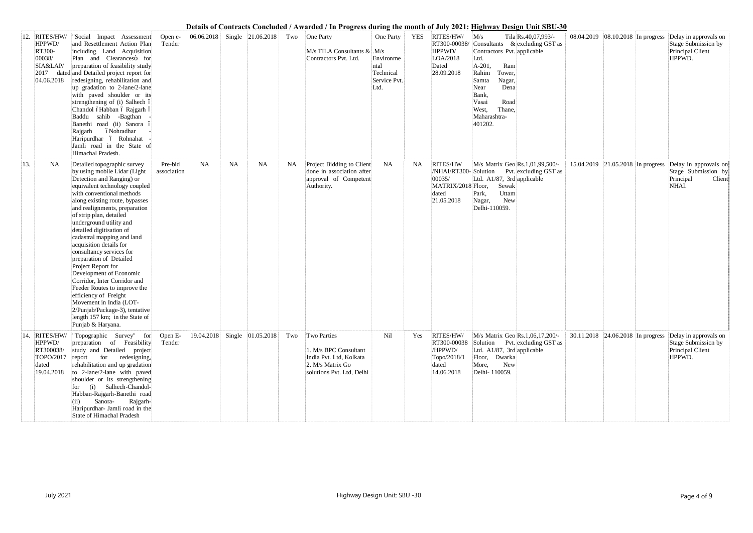|     | 12. RITES/HW/<br>HPPWD/<br>RT300-<br>00038/<br>SIA&LAP/<br>04.06.2018           | "Social Impact Assessment<br>and Resettlement Action Plan<br>including Land Acquisition<br>Plan and Clearanceso for<br>preparation of feasibility study<br>2017 dated and Detailed project report for<br>redesigning, rehabilitation and<br>up gradation to 2-lane/2-lane<br>with paved shoulder or its<br>strengthening of (i) Salhech ó<br>Chandol óHabban ó Rajgarh ó<br>Baddu sahib -Bagthan<br>Banethi road (ii) Sanora ó<br>óNohradhar<br>Rajgarh<br>Haripurdhar ó Rohnahat<br>Jamli road in the State of<br>Himachal Pradesh.                                                                                                                                                      | Open e-<br>Tender      | 06.06.2018 |           | Single 21.06.2018            | Two       | One Party<br>$M/s$ TILA Consultants & $M/s$<br>Contractors Pvt. Ltd.                                                    | One Party<br>Environme<br>ntal<br>Technical<br>Service Pvt.<br>Ltd. | <b>YES</b> | RITES/HW/<br>RT300-00038/<br>HPPWD/<br>LOA/2018<br>Dated<br>28.09.2018                         | M/s<br>Contractors Pvt. applicable<br>Ltd.<br>A-201,<br>Ram<br>Rahim<br>Tower,<br>Nagar,<br>Samta<br>Near<br>Dena<br>Bank,<br>Vasai<br>Road<br>West,<br>Thane,<br>Maharashtra-<br>401202. | Tila Rs.40,07,993/-<br>Consultants & excluding GST as | 08.04.2019 08.10.2018 In progress   |  | Delay in approvals on<br>Stage Submission by<br>Principal Client<br>HPPWD.   |
|-----|---------------------------------------------------------------------------------|-------------------------------------------------------------------------------------------------------------------------------------------------------------------------------------------------------------------------------------------------------------------------------------------------------------------------------------------------------------------------------------------------------------------------------------------------------------------------------------------------------------------------------------------------------------------------------------------------------------------------------------------------------------------------------------------|------------------------|------------|-----------|------------------------------|-----------|-------------------------------------------------------------------------------------------------------------------------|---------------------------------------------------------------------|------------|------------------------------------------------------------------------------------------------|-------------------------------------------------------------------------------------------------------------------------------------------------------------------------------------------|-------------------------------------------------------|-------------------------------------|--|------------------------------------------------------------------------------|
| 13. | <b>NA</b>                                                                       | Detailed topographic survey<br>by using mobile Lidar (Light<br>Detection and Ranging) or<br>equivalent technology coupled<br>with conventional methods<br>along existing route, bypasses<br>and realignments, preparation<br>of strip plan, detailed<br>underground utility and<br>detailed digitisation of<br>cadastral mapping and land<br>acquisition details for<br>consultancy services for<br>preparation of Detailed<br>Project Report for<br>Development of Economic<br>Corridor, Inter Corridor and<br>Feeder Routes to improve the<br>efficiency of Freight<br>Movement in India (LOT-<br>2/Punjab/Package-3), tentative<br>length 157 km; in the State of<br>Punjab & Haryana. | Pre-bid<br>association | <b>NA</b>  | <b>NA</b> | <b>NA</b>                    | <b>NA</b> | Project Bidding to Client<br>done in association after<br>approval of Competent<br>Authority.                           | <b>NA</b>                                                           | NA         | <b>RITES/HW</b><br>/NHAI/RT300-Solution<br>00035/<br>MATRIX/2018 Floor,<br>dated<br>21.05.2018 | M/s Matrix Geo Rs.1,01,99,500/-<br>Ltd. A1/87, 3rd applicable<br>Sewak<br>Uttam<br>Park,<br>New<br>Nagar,<br>Delhi-110059.                                                                | Pvt. excluding GST as                                 | 15.04.2019 21.05.2018 In progress   |  | Delay in approvals on<br>Stage Submission by<br>Principal<br>Client<br>NHAI. |
|     | 14. RITES/HW/<br>HPPWD/<br>RT300038/<br>TOPO/2017 report<br>dated<br>19.04.2018 | "Topographic Survey" for<br>preparation of Feasibility<br>study and Detailed project<br>for redesigning,<br>rehabilitation and up gradation<br>to 2-lane/2-lane with paved<br>shoulder or its strengthening<br>for (i) Salhech-Chandol-<br>Habban-Rajgarh-Banethi road<br>Sanora-<br>Rajgarh-<br>(ii)<br>Haripurdhar- Jamli road in the<br>State of Himachal Pradesh                                                                                                                                                                                                                                                                                                                      | Open E-<br>Tender      |            |           | 19.04.2018 Single 01.05.2018 | Two       | <b>Two Parties</b><br>1. M/s BPC Consultant<br>India Pvt. Ltd, Kolkata<br>2. M/s Matrix Go<br>solutions Pvt. Ltd, Delhi | Nil                                                                 | Yes        | RITES/HW/<br>RT300-00038<br>/HPPWD/<br>Topo/2018/1<br>dated<br>14.06.2018                      | M/s Matrix Geo Rs.1,06,17,200/-<br>Ltd. A1/87, 3rd applicable<br>Floor, Dwarka<br>New<br>More,<br>Delhi-110059.                                                                           | Solution Pvt. excluding GST as                        | 30.11.2018   24.06.2018 In progress |  | Delay in approvals on<br>Stage Submission by<br>Principal Client<br>HPPWD.   |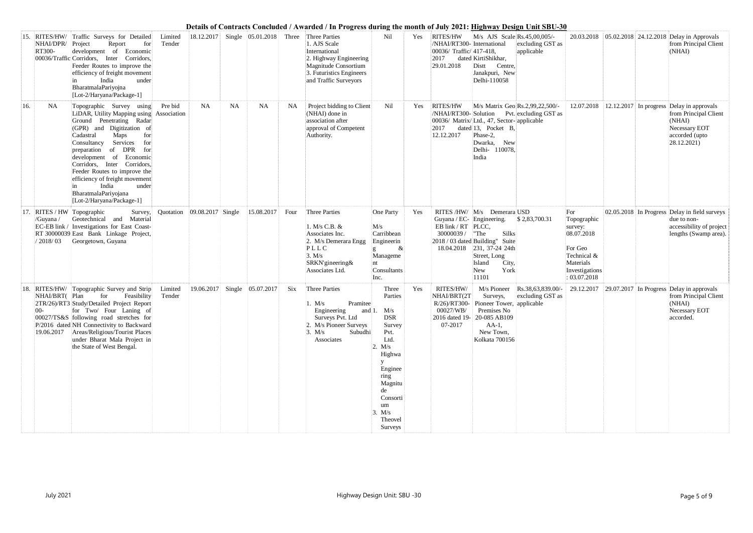| 15. | NHAI/DPR/<br>RT300-      | RITES/HW/ Traffic Surveys for Detailed<br>Project<br>Report<br>for<br>development of Economic<br>00036/Traffic Corridors, Inter Corridors,<br>Feeder Routes to improve the<br>efficiency of freight movement<br>India<br>under<br>BharatmalaPariyojna<br>[Lot-2/Haryana/Package-1]                                                                                                                                          | Limited<br>Tender | 18.12.2017                      |           | Single $ 05.01.2018 $ Three  |           | Three Parties<br>1. AJS Scale<br>International<br>2. Highway Engineering<br>Magnitude Consortium<br>3. Futuristics Engineers<br>and Traffic Surveyors | Nil                                                                                                                                                                                | Yes. | <b>RITES/HW</b><br>/NHAI/RT300- International<br>$ 00036/$ Traffic/ $ 417-418$ ,<br>2017<br>29.01.2018 | M/s AJS Scale Rs.45,00,005/-<br>excluding GST as<br>applicable<br>dated KirtiShikhar,<br>Centre,<br>Distt<br>Janakpuri, New<br>Delhi-110058                                                                 |                                                                                                                      |  | 20.03.2018   05.02.2018   24.12.2018   Delay in Approvals<br>from Principal Client<br>(NHAI)                                              |
|-----|--------------------------|-----------------------------------------------------------------------------------------------------------------------------------------------------------------------------------------------------------------------------------------------------------------------------------------------------------------------------------------------------------------------------------------------------------------------------|-------------------|---------------------------------|-----------|------------------------------|-----------|-------------------------------------------------------------------------------------------------------------------------------------------------------|------------------------------------------------------------------------------------------------------------------------------------------------------------------------------------|------|--------------------------------------------------------------------------------------------------------|-------------------------------------------------------------------------------------------------------------------------------------------------------------------------------------------------------------|----------------------------------------------------------------------------------------------------------------------|--|-------------------------------------------------------------------------------------------------------------------------------------------|
| 16. | <b>NA</b>                | Topographic Survey using<br>LiDAR, Utility Mapping using Association<br>Ground Penetrating Radar<br>(GPR) and Digitization of<br>Cadastral<br>Maps<br>for<br>Services<br>Consultancy<br>for<br>of DPR for<br>preparation<br>development of Economic<br>Corridors, Inter Corridors,<br>Feeder Routes to improve the<br>efficiency of freight movement<br>India<br>under<br>BharatmalaPariyojana<br>[Lot-2/Haryana/Package-1] | Pre bid           | <b>NA</b>                       | <b>NA</b> | <b>NA</b>                    | <b>NA</b> | Project bidding to Client<br>(NHAI) done in<br>association after<br>approval of Competent<br>Authority.                                               | Nil                                                                                                                                                                                | Yes  | RITES/HW<br>2017<br>12.12.2017                                                                         | M/s Matrix Geo Rs.2,99,22,500/-<br>/NHAI/RT300-Solution Pvt. excluding GST as<br>00036/ Matrix/Ltd., 47, Sector- applicable<br>dated 13, Pocket B,<br>Phase-2,<br>New<br>Dwarka,<br>Delhi- 110078,<br>India |                                                                                                                      |  | 12.07.2018 12.12.2017 In progress Delay in approvals<br>from Principal Client<br>(NHAI)<br>Necessary EOT<br>accorded (upto<br>28.12.2021) |
|     | /Guyana /<br>/ 2018 / 03 | 17. RITES / HW Topographic<br>Survey,<br>Geotechnical and Material<br>EC-EB link / Investigations for East Coast-<br>RT 30000039 East Bank Linkage Project,<br>Georgetown, Guyana                                                                                                                                                                                                                                           |                   | Quotation $ 09.08.2017 $ Single |           | 15.08.2017                   | Four      | Three Parties<br>1. M/s C.B. &<br>Associates Inc.<br>2. M/s Demerara Engg<br>PLLC<br>3. M/s<br>SRKN'gineering&<br>Associates Ltd.                     | One Party<br>M/s<br>Carribbean<br>Engineerin<br>$\&$<br>Manageme<br>Consultants<br>Inc.                                                                                            | Yes  | Guyana / EC- Engineering.<br>EB link / RT PLCC,<br>30000039 / "The                                     | RITES /HW/ M/s Demerara USD<br>\$2,83,700.31<br><b>Silks</b><br>2018 / 03 dated Building" Suite<br>18.04.2018 231, 37-24 24th<br>Street, Long<br>City,<br>Island<br>York<br>New<br>11101                    | For<br>Topographic<br>survey:<br>08.07.2018<br>For Geo<br>Technical &<br>Materials<br>Investigations<br>: 03.07.2018 |  | 02.05.2018 In Progress Delay in field surveys<br>due to non-<br>accessibility of project<br>lengths (Swamp area).                         |
|     | NHAI/BRT(Plan<br>-00     | 18. RITES/HW/ Topographic Survey and Strip<br>for<br>Feasibility<br>2TR/26)/RT3 Study/Detailed Project Report<br>for Two/ Four Laning of<br>00027/TS&S following road stretches for<br>P/2016 dated NH Connectivity to Backward<br>19.06.2017 Areas/Religious/Tourist Places<br>under Bharat Mala Project in<br>the State of West Bengal.                                                                                   | Limited<br>Tender |                                 |           | 19.06.2017 Single 05.07.2017 | Six       | <b>Three Parties</b><br>1. M/s<br>Pramitee<br>Engineering<br>Surveys Pvt. Ltd<br>2. M/s Pioneer Surveys<br>Subudhi<br>3. M/s<br>Associates            | Three<br>Parties<br>and 1. $M/s$<br><b>DSR</b><br>Survey<br>Pvt.<br>Ltd.<br>2. M/s<br>Highwa<br>Enginee<br>ring<br>Magnitu<br>de<br>Consorti<br>um<br>3. M/s<br>Theovel<br>Surveys | Yes  | RITES/HW/<br>NHAI/BRT(2T<br>R/26)/RT300-<br>00027/WB/<br>07-2017                                       | M/s Pioneer Rs.38,63,839.00/-<br>Surveys,<br>excluding GST as<br>Pioneer Tower, applicable<br>Premises No<br>2016 dated 19-20-085 AB109<br>$AA-1$ ,<br>New Town,<br>Kolkata 700156                          |                                                                                                                      |  | $29.12.2017$ 29.07.2017 In Progress Delay in approvals<br>from Principal Client<br>(NHAI)<br>Necessary EOT<br>accorded.                   |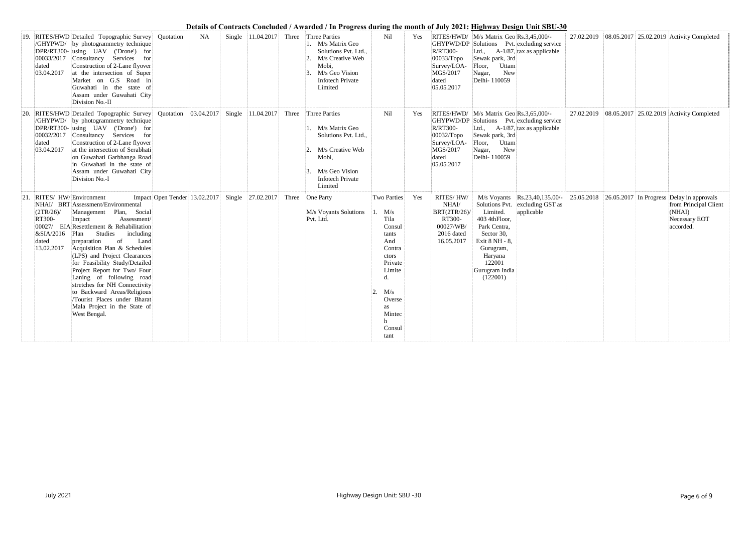|     | dated<br>03.04.2017                                                                     | 19. RITES/HWD Detailed Topographic Survey<br>/GHYPWD/ by photogrammetry technique<br>DPR/RT300- using UAV ('Drone') for<br>00033/2017 Consultancy Services for<br>Construction of 2-Lane flyover<br>at the intersection of Super<br>Market on G.S Road in<br>Guwahati in the state of<br>Assam under Guwahati City<br>Division No.-II                                                                                                                                                                | Quotation                                                       | <b>NA</b> | Single $ 11.04.2017 $ Three | Three Parties<br>1. M/s Matrix Geo<br>Solutions Pvt. Ltd.,<br>M/s Creative Web<br>$\mathcal{D}_{\cdot}$<br>Mobi,<br>M/s Geo Vision<br><b>Infotech Private</b><br>Limited | Nil                                                                                                                                                               | Yes | <b>R/RT300-</b><br>$00033/T$ opo<br>Survey/LOA-<br>MGS/2017<br>dated<br>05.05.2017             | RITES/HWD/ M/s Matrix Geo Rs.3,45,000/-<br>GHYPWD/DP Solutions Pvt. excluding service<br>$A-1/87$ , tax as applicable<br>Ltd.,<br>Sewak park, 3rd<br>Floor, Uttam<br>New<br>Nagar,<br>Delhi-110059                                                                               |  | 27.02.2019 08.05.2017 25.02.2019 Activity Completed           |
|-----|-----------------------------------------------------------------------------------------|------------------------------------------------------------------------------------------------------------------------------------------------------------------------------------------------------------------------------------------------------------------------------------------------------------------------------------------------------------------------------------------------------------------------------------------------------------------------------------------------------|-----------------------------------------------------------------|-----------|-----------------------------|--------------------------------------------------------------------------------------------------------------------------------------------------------------------------|-------------------------------------------------------------------------------------------------------------------------------------------------------------------|-----|------------------------------------------------------------------------------------------------|----------------------------------------------------------------------------------------------------------------------------------------------------------------------------------------------------------------------------------------------------------------------------------|--|---------------------------------------------------------------|
| 20. | 00032/2017<br>dated<br>03.04.2017                                                       | RITES/HWD Detailed Topographic Survey<br>/GHYPWD/ by photogrammetry technique<br>DPR/RT300- using UAV ('Drone') for<br>Consultancy Services for<br>Construction of 2-Lane flyover<br>at the intersection of Serabhati<br>on Guwahati Garbhanga Road<br>in Guwahati in the state of<br>Assam under Guwahati City<br>Division No.-I                                                                                                                                                                    | Quotation $ 03.04.2017 $ Single 11.04.2017 Three                |           |                             | Three Parties<br>M/s Matrix Geo<br>Solutions Pvt. Ltd.,<br>M/s Creative Web<br>$2$ .<br>Mobi,<br>M/s Geo Vision<br><b>Infotech Private</b><br>Limited                    | Nil                                                                                                                                                               | Yes | <b>R/RT300-</b><br>$00032$ /Topo<br>Survey/LOA-<br>MGS/2017<br>dated<br>05.05.2017             | RITES/HWD/ M/s Matrix Geo Rs.3,65,000/-<br>GHYPWD/DP Solutions Pvt. excluding service<br>Ltd., $A-1/87$ , tax as applicable<br>Sewak park, 3rd<br>Floor, Uttam<br>New<br>Nagar,<br>Delhi-110059                                                                                  |  | 27.02.2019 08.05.2017 25.02.2019 Activity Completed           |
|     | 21. RITES/HW/Environment<br>(2TR/26)<br>RT300-<br>&SIA/2016 Plan<br>dated<br>13.02.2017 | NHAI/ BRT Assessment/Environmental<br>Management Plan, Social<br>Impact<br>Assessment/<br>00027/ EIA Resettlement & Rehabilitation<br>Studies<br>including<br>Land<br>preparation<br>of<br>Acquisition Plan & Schedules<br>(LPS) and Project Clearances<br>for Feasibility Study/Detailed<br>Project Report for Two/ Four<br>Laning of following road<br>stretches for NH Connectivity<br>to Backward Areas/Religious<br>Tourist Places under Bharat<br>Mala Project in the State of<br>West Bengal. | Impact Open Tender 13.02.2017 Single 27.02.2017 Three One Party |           |                             | M/s Voyants Solutions<br>Pvt. Ltd.                                                                                                                                       | Two Parties<br>$1.$ M/s<br>Tila<br>Consul<br>tants<br>And<br>Contra<br>ctors<br>Private<br>Limite<br>d.<br>M/s<br>Overse<br><b>as</b><br>Mintec<br>Consul<br>tant | Yes | RITES/HW/<br>$\text{NHAI}/$<br>BRT(2TR/26)/<br>RT300-<br>00027/WB/<br>2016 dated<br>16.05.2017 | M/s Voyants Rs.23,40,135.00/- 25.05.2018 26.05.2017 In Progress Delay in approvals<br>Solutions Pvt. excluding GST as<br>Limited.<br>applicable<br>403 4thFloor,<br>Park Centra,<br>Sector 30,<br>Exit 8 NH - 8,<br>Gurugram,<br>Haryana<br>122001<br>Gurugram India<br>(122001) |  | from Principal Client<br>(NHAI)<br>Necessary EOT<br>accorded. |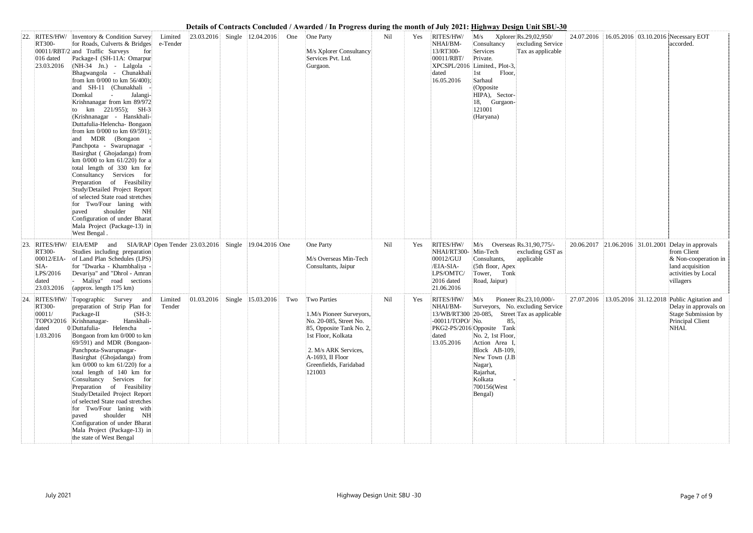| 24.07.2016 |            | 16.05.2016 03.10.2016 Necessary EOT<br>accorded.                                                                             |
|------------|------------|------------------------------------------------------------------------------------------------------------------------------|
| 20.06.2017 | 21.06.2016 | 31.01.2001 Delay in approvals<br>from Client<br>& Non-cooperation in<br>land acquisition<br>activities by Local<br>villagers |
| 27.07.2016 |            | 13.05.2016 31.12.2018 Public Agitation and<br>Delay in approvals on<br>Stage Submission by<br>Principal Client<br>NHAI.      |

| 22. | <b>RITES/HW/</b><br>RT300-<br>016 dated<br>23.03.2016                          | Inventory & Condition Survey<br>for Roads, Culverts & Bridges<br>00011/RBT/2 and Traffic Surveys<br>for<br>Package-I (SH-11A: Omarpur<br>(NH-34 Jn.) - Lalgola -<br>Bhagwangola - Chunakhali<br>from km 0/000 to km 56/400);<br>and SH-11 (Chunakhali<br>Domkal<br>Jalangi-<br>$\sim$<br>Krishnanagar from km 89/972<br>km $221/955$ ; SH-3<br>(Krishnanagar - Hanskhali-<br>Duttafulia-Helencha- Bongaon<br>from km 0/000 to km 69/591);<br>and MDR (Bongaon<br>Panchpota - Swarupnagar<br>Basirghat (Ghojadanga) from<br>km 0/000 to km 61/220) for a<br>total length of 330 km for<br>Consultancy Services for<br>Preparation of Feasibility<br>Study/Detailed Project Report<br>of selected State road stretches<br>for Two/Four laning with<br>shoulder<br>paved<br><b>NH</b><br>Configuration of under Bharat<br>Mala Project (Package-13) in<br>West Bengal. | Limited<br>e-Tender            | 23.03.2016 |        | Single   12.04.2016   | One | One Party<br>M/s Xplorer Consultancy<br>Services Pvt. Ltd.<br>Gurgaon.                                                                                                                                     | Nil | Yes | RITES/HW/<br>NHAI/BM-<br>13/RT300-<br>00011/RBT/<br>dated<br>16.05.2016                     | M/s<br>Consultancy<br>Services<br>Private.<br>XPCSPL/2016 Limited., Plot-3,<br>1st<br>Floor,<br>Sarhaul<br>(Opposite<br>HIPA), Sector-<br>18, Gurgaon-<br>121001<br>(Haryana)  | Xplorer Rs.29,02,950/<br>excluding Service<br>Tax as applicable                                            |
|-----|--------------------------------------------------------------------------------|---------------------------------------------------------------------------------------------------------------------------------------------------------------------------------------------------------------------------------------------------------------------------------------------------------------------------------------------------------------------------------------------------------------------------------------------------------------------------------------------------------------------------------------------------------------------------------------------------------------------------------------------------------------------------------------------------------------------------------------------------------------------------------------------------------------------------------------------------------------------|--------------------------------|------------|--------|-----------------------|-----|------------------------------------------------------------------------------------------------------------------------------------------------------------------------------------------------------------|-----|-----|---------------------------------------------------------------------------------------------|--------------------------------------------------------------------------------------------------------------------------------------------------------------------------------|------------------------------------------------------------------------------------------------------------|
| 23. | RITES/HW/<br>RT300-<br>00012/EIA-<br>$SIA-$<br>LPS/2016<br>dated<br>23.03.2016 | EIA/EMP<br>and<br>Studies including preparation<br>of Land Plan Schedules (LPS)<br>for "Dwarka - Khambhaliya -<br>Devariya" and "Dhrol - Amran<br>Maliya" road sections<br>(approx. length 175 km)                                                                                                                                                                                                                                                                                                                                                                                                                                                                                                                                                                                                                                                                  | SIA/RAP Open Tender 23.03.2016 |            |        | Single 19.04.2016 One |     | One Party<br>M/s Overseas Min-Tech<br>Consultants, Jaipur                                                                                                                                                  | Nil | Yes | RITES/HW/<br>NHAI/RT300-<br>00012/GUJ<br>/EIA-SIA-<br>LPS/OMTC/<br>2016 dated<br>21.06.2016 | M/s<br>Min-Tech<br>Consultants,<br>(5th floor, Apex)<br>Tower, Tonk<br>Road, Jaipur)                                                                                           | Overseas Rs.31,90,775/-<br>excluding GST as<br>applicable                                                  |
| 24. | RITES/HW/<br>RT300-<br>00011/<br>dated<br>1.03.2016                            | Survey and<br>Topographic<br>preparation of Strip Plan for<br>Package-II<br>$(SH-3)$<br>TOPO/2016 Krishnanagar-<br>Hanskhali-<br>0 Duttafulia-<br>Helencha<br>Bongaon from km 0/000 to km<br>69/591) and MDR (Bongaon-<br>Panchpota-Swarupnagar-<br>Basirghat (Ghojadanga) from<br>km 0/000 to km 61/220) for a<br>total length of 140 km for<br>Consultancy Services for<br>Preparation of Feasibility<br>Study/Detailed Project Report<br>of selected State road stretches<br>for Two/Four laning with<br>shoulder<br><b>NH</b><br>paved<br>Configuration of under Bharat<br>Mala Project (Package-13) in<br>the state of West Bengal                                                                                                                                                                                                                             | Limited<br>Tender              | 01.03.2016 | Single | 15.03.2016            | Two | <b>Two Parties</b><br>1.M/s Pioneer Surveyors,<br>No. 20-085, Street No.<br>85, Opposite Tank No. 2,<br>1st Floor, Kolkata<br>2. M/s ARK Services,<br>A-1693, II Floor<br>Greenfields, Faridabad<br>121003 | Nil | Yes | RITES/HW/<br>NHAI/BM-<br>-00011/TOPO/ No.<br>dated<br>13.05.2016                            | M/s<br>85.<br>PKG2-PS/2016 Opposite Tank<br>No. 2, 1st Floor,<br>Action Area I,<br>Block AB-109,<br>New Town (J.B<br>Nagar),<br>Rajarhat,<br>Kolkata<br>700156(West<br>Bengal) | Pioneer Rs.23,10,000/-<br>Surveyors, No. excluding Service<br>13/WB/RT300 20-085, Street Tax as applicable |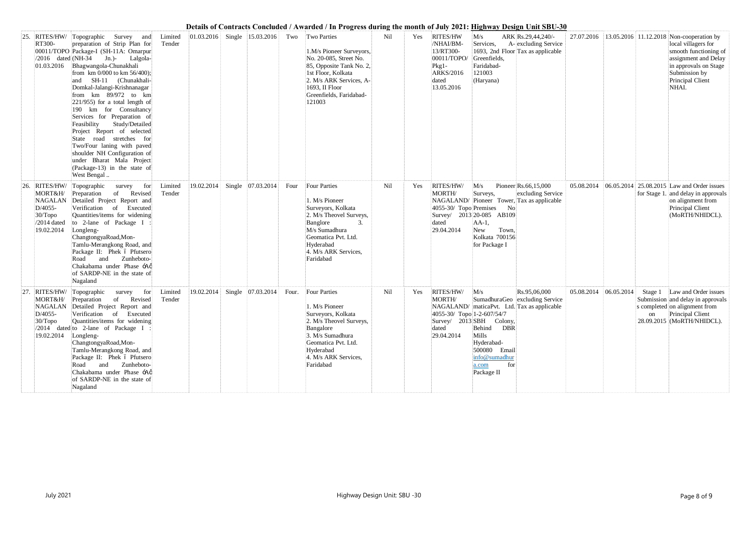|     | RITES/HW/<br>RT300-<br>$/2016$ dated (NH-34<br>01.03.2016                               | Topographic Survey and<br>preparation of Strip Plan for<br>00011/TOPO Package-I (SH-11A: Omarpur<br>Jn.)- Lalgola-<br>Bhagwangola-Chunakhali<br>from km 0/000 to km 56/400);<br>SH-11 (Chunakhali-<br>and<br>Domkal-Jalangi-Krishnanagar<br>from km 89/972 to km<br>$221/955$ ) for a total length of<br>190 km for Consultancy<br>Services for Preparation of<br>Feasibility<br>Study/Detailed<br>Project Report of selected<br>State road stretches for<br>Two/Four laning with paved<br>shoulder NH Configuration of<br>under Bharat Mala Project<br>(Package-13) in the state of<br>West Bengal | Limited<br>Tender | 01.03.2016 | Single   15.03.2016 | Two   | <b>Two Parties</b><br>1.M/s Pioneer Surveyors,<br>No. 20-085, Street No.<br>85, Opposite Tank No. 2,<br>1st Floor, Kolkata<br>2. M/s ARK Services, A-<br>1693, II Floor<br>Greenfields, Faridabad-<br>121003 | Nil | Yes | <b>RITES/HW</b><br>/NHAI/BM-<br>13/RT300-<br>00011/TOPO/<br>$Pkg1-$<br>ARKS/2016<br>dated<br>13.05.2016 | ARK Rs.29,44,240/-<br>M/s<br>A-excluding Service<br>Services,<br>1693, 2nd Floor Tax as applicable<br>Greenfields,<br>Faridabad-<br>121003<br>(Haryana)                                                                                     |                       |  | 27.07.2016 13.05.2016 11.12.2018 Non-cooperation by<br>local villagers for<br>smooth functioning of<br>assignment and Delay<br>in approvals on Stage<br>Submission by<br>Principal Client<br>NHAI. |
|-----|-----------------------------------------------------------------------------------------|-----------------------------------------------------------------------------------------------------------------------------------------------------------------------------------------------------------------------------------------------------------------------------------------------------------------------------------------------------------------------------------------------------------------------------------------------------------------------------------------------------------------------------------------------------------------------------------------------------|-------------------|------------|---------------------|-------|--------------------------------------------------------------------------------------------------------------------------------------------------------------------------------------------------------------|-----|-----|---------------------------------------------------------------------------------------------------------|---------------------------------------------------------------------------------------------------------------------------------------------------------------------------------------------------------------------------------------------|-----------------------|--|----------------------------------------------------------------------------------------------------------------------------------------------------------------------------------------------------|
| 26. | RITES/HW/<br>MORT&H/<br>NAGALAN<br>D/4055-<br>$30/T$ opo<br>$/2014$ dated<br>19.02.2014 | for<br>Topographic<br>survey<br>of Revised<br>Preparation<br>Detailed Project Report and<br>Verification of Executed<br>Quantities/items for widening<br>to 2-lane of Package I<br>Longleng-<br>ChangtongyaRoad, Mon-<br>Tamlu-Merangkong Road, and<br>Package II: Phek ó Pfutsero<br>Zunheboto-<br>and<br>Road<br>Chakabama under Phase -Ag<br>of SARDP-NE in the state of<br>Nagaland                                                                                                                                                                                                             | Limited<br>Tender | 19.02.2014 | Single 07.03.2014   | Four  | <b>Four Parties</b><br>1. M/s Pioneer<br>Surveyors, Kolkata<br>2. M/s Theovel Surveys,<br>Banglore<br>M/s Sumadhura<br>Geomatica Pvt. Ltd.<br>Hyderabad<br>4. M/s ARK Services,<br>Faridabad                 | Nil | Yes | RITES/HW/<br>MORTH/<br>4055-30/ Topo Premises<br>dated<br>29.04.2014                                    | Pioneer Rs.66,15,000<br>M/s<br>excluding Service<br>Surveys,<br>NAGALAND/ Pioneer Tower, Tax as applicable<br>$\rm No$<br>Survey/ 2013 20-085 AB109<br>$AA-1$ ,<br>Town.<br>New<br>Kolkata 700156<br>for Package I                          | 05.08.2014            |  | 06.05.2014 25.08.2015 Law and Order issues<br>for Stage 1. and delay in approvals<br>on alignment from<br>Principal Client<br>(MoRTH/NHIDCL).                                                      |
| 27. | RITES/HW/<br>MORT&H/<br>D/4055-<br>$30/T$ opo<br>19.02.2014 Longleng-                   | Topographic<br>survey<br>for<br>of Revised<br>Preparation<br>NAGALAN Detailed Project Report and<br>Verification of Executed<br>Quantities/items for widening<br>$/2014$ dated to 2-lane of Package I :<br>ChangtongyaRoad, Mon-<br>Tamlu-Merangkong Road, and<br>Package II: Phek ó Pfutsero<br>Road and Zunheboto-<br>Chakabama under Phase -Aø<br>of SARDP-NE in the state of<br>Nagaland                                                                                                                                                                                                        | Limited<br>Tender | 19.02.2014 | Single 07.03.2014   | Four. | <b>Four Parties</b><br>1. M/s Pioneer<br>Surveyors, Kolkata<br>2. M/s Theovel Surveys,<br>Bangalore<br>3. M/s Sumadhura<br>Geomatica Pvt. Ltd.<br>Hyderabad<br>4. M/s ARK Services,<br>Faridabad             | Nil | Yes | RITES/HW/<br>MORTH/<br>4055-30/ Topo 1-2-607/54/7<br>dated<br>29.04.2014                                | M/s<br>Rs.95,06,000<br>SumadhuraGeo excluding Service<br>NAGALAND/ maticaPvt. Ltd. Tax as applicable<br>$\text{Surve}$ 2013 SBH Colony,<br>Behind DBR<br>Mills<br>Hyderabad-<br>500080 Email<br>info@sumadhur<br>for<br>a.com<br>Package II | 05.08.2014 06.05.2014 |  | Stage 1 Law and Order issues<br>Submission and delay in approvals<br>s completed on alignment from<br>on Principal Client<br>28.09.2015 (MoRTH/NHIDCL).                                            |